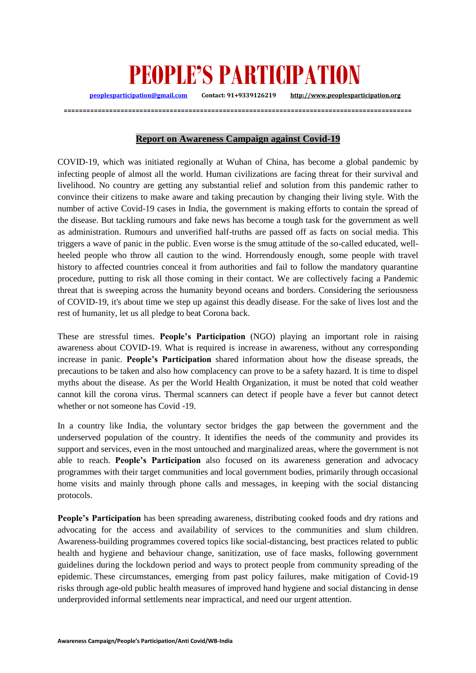## **PEOPLE'S PARTICIPATION**

**[peoplesparticipation@gmail.com](mailto:peoplesparticipation@gmail.com) Contact: 91+9339126219 [http://www.peoplesparticipation.org](http://www.peoplesparticipation.org/)**

## **Report on Awareness Campaign against Covid-19**

**============================================================================================**

COVID‐19, which was initiated regionally at Wuhan of China, has become a global pandemic by infecting people of almost all the world. Human civilizations are facing threat for their survival and livelihood. No country are getting any substantial relief and solution from this pandemic rather to convince their citizens to make aware and taking precaution by changing their living style. With the number of active Covid-19 cases in India, the government is making efforts to contain the spread of the disease. But tackling rumours and fake news has become a tough task for the government as well as administration. Rumours and unverified half-truths are passed off as facts on social media. This triggers a wave of panic in the public. Even worse is the smug attitude of the so-called educated, wellheeled people who throw all caution to the wind. Horrendously enough, some people with travel history to affected countries conceal it from authorities and fail to follow the mandatory quarantine procedure, putting to risk all those coming in their contact. We are collectively facing a Pandemic threat that is sweeping across the humanity beyond oceans and borders. Considering the seriousness of COVID-19, it's about time we step up against this deadly disease. For the sake of lives lost and the rest of humanity, let us all pledge to beat Corona back.

These are stressful times. **People's Participation** (NGO) playing an important role in raising awareness about COVID-19. What is required is increase in awareness, without any corresponding increase in panic. **People's Participation** shared information about how the disease spreads, the precautions to be taken and also how complacency can prove to be a safety hazard. It is time to dispel myths about the disease. As per the World Health Organization, it must be noted that cold weather cannot kill the corona virus. Thermal scanners can detect if people have a fever but cannot detect whether or not someone has Covid -19.

In a country like India, the voluntary sector bridges the gap between the government and the underserved population of the country. It identifies the needs of the community and provides its support and services, even in the most untouched and marginalized areas, where the government is not able to reach. **People's Participation** also focused on its awareness generation and advocacy programmes with their target communities and local government bodies, primarily through occasional home visits and mainly through phone calls and messages, in keeping with the social distancing protocols.

**People's Participation** has been spreading awareness, distributing cooked foods and dry rations and advocating for the access and availability of services to the communities and slum children. Awareness-building programmes covered topics like social-distancing, best practices related to public health and hygiene and behaviour change, sanitization, use of face masks, following government guidelines during the lockdown period and ways to protect people from community spreading of the epidemic. These circumstances, emerging from past policy failures, make mitigation of Covid-19 risks through age-old public health measures of improved hand hygiene and social distancing in dense underprovided informal settlements near impractical, and need our urgent attention.